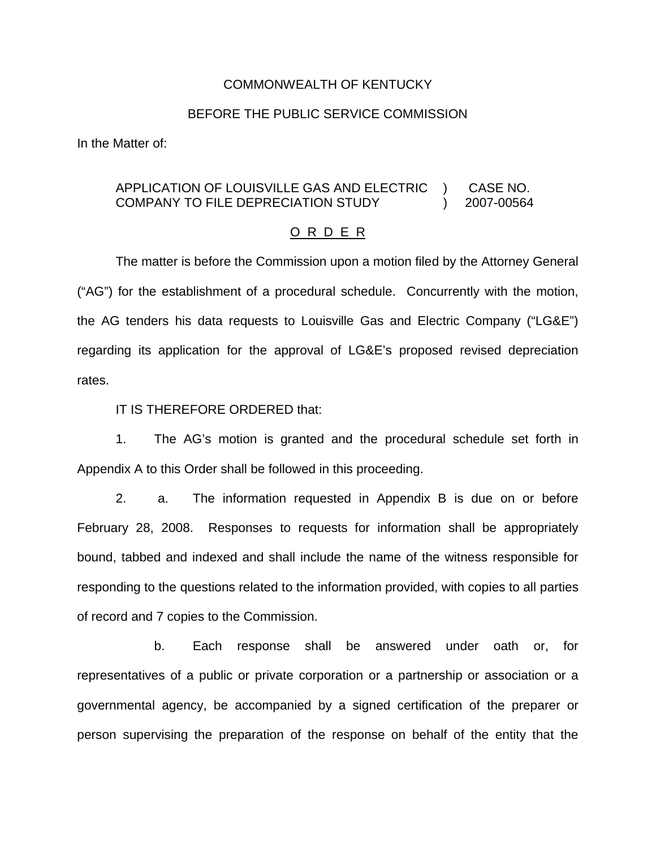## COMMONWEALTH OF KENTUCKY

## BEFORE THE PUBLIC SERVICE COMMISSION

In the Matter of:

#### APPLICATION OF LOUISVILLE GAS AND ELECTRIC COMPANY TO FILE DEPRECIATION STUDY ) ) CASE NO. 2007-00564

#### O R D E R

The matter is before the Commission upon a motion filed by the Attorney General ("AG") for the establishment of a procedural schedule. Concurrently with the motion, the AG tenders his data requests to Louisville Gas and Electric Company ("LG&E") regarding its application for the approval of LG&E's proposed revised depreciation rates.

### IT IS THEREFORE ORDERED that:

1. The AG's motion is granted and the procedural schedule set forth in Appendix A to this Order shall be followed in this proceeding.

2. a. The information requested in Appendix B is due on or before February 28, 2008. Responses to requests for information shall be appropriately bound, tabbed and indexed and shall include the name of the witness responsible for responding to the questions related to the information provided, with copies to all parties of record and 7 copies to the Commission.

b. Each response shall be answered under oath or, for representatives of a public or private corporation or a partnership or association or a governmental agency, be accompanied by a signed certification of the preparer or person supervising the preparation of the response on behalf of the entity that the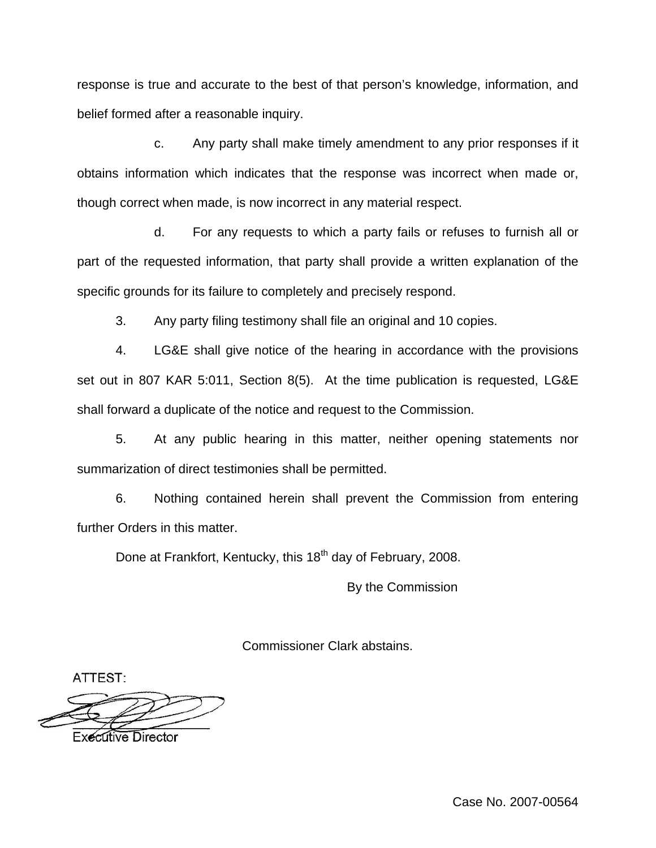response is true and accurate to the best of that person's knowledge, information, and belief formed after a reasonable inquiry.

c. Any party shall make timely amendment to any prior responses if it obtains information which indicates that the response was incorrect when made or, though correct when made, is now incorrect in any material respect.

d. For any requests to which a party fails or refuses to furnish all or part of the requested information, that party shall provide a written explanation of the specific grounds for its failure to completely and precisely respond.

3. Any party filing testimony shall file an original and 10 copies.

4. LG&E shall give notice of the hearing in accordance with the provisions set out in 807 KAR 5:011, Section 8(5). At the time publication is requested, LG&E shall forward a duplicate of the notice and request to the Commission.

5. At any public hearing in this matter, neither opening statements nor summarization of direct testimonies shall be permitted.

6. Nothing contained herein shall prevent the Commission from entering further Orders in this matter.

Done at Frankfort, Kentucky, this 18<sup>th</sup> day of February, 2008.

By the Commission

Commissioner Clark abstains.

ATTEST:

**Executive Director**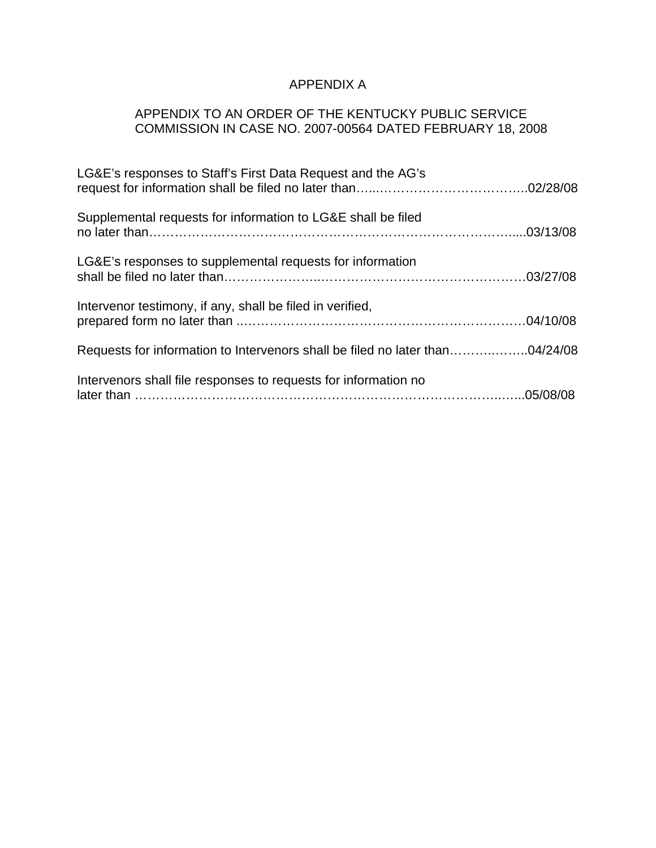# APPENDIX A

# APPENDIX TO AN ORDER OF THE KENTUCKY PUBLIC SERVICE COMMISSION IN CASE NO. 2007-00564 DATED FEBRUARY 18, 2008

| LG&E's responses to Staff's First Data Request and the AG's                  |  |
|------------------------------------------------------------------------------|--|
| Supplemental requests for information to LG&E shall be filed                 |  |
| LG&E's responses to supplemental requests for information                    |  |
| Intervenor testimony, if any, shall be filed in verified,                    |  |
| Requests for information to Intervenors shall be filed no later than04/24/08 |  |
| Intervenors shall file responses to requests for information no              |  |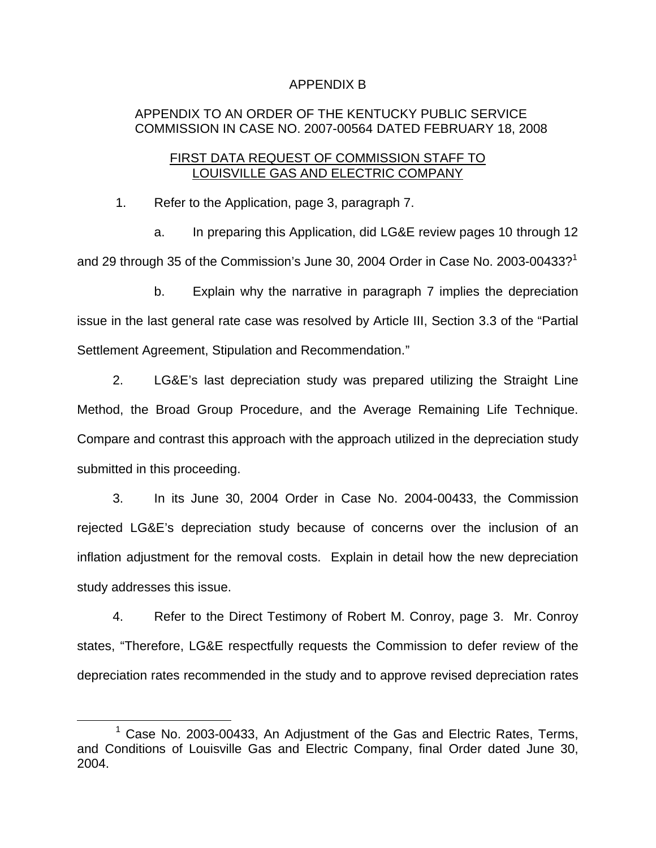## APPENDIX B

# APPENDIX TO AN ORDER OF THE KENTUCKY PUBLIC SERVICE COMMISSION IN CASE NO. 2007-00564 DATED FEBRUARY 18, 2008

## FIRST DATA REQUEST OF COMMISSION STAFF TO LOUISVILLE GAS AND ELECTRIC COMPANY

1. Refer to the Application, page 3, paragraph 7.

a. In preparing this Application, did LG&E review pages 10 through 12 and 29 through 35 of the Commission's June 30, 2004 Order in Case No. 2003-00433?<sup>1</sup>

b. Explain why the narrative in paragraph 7 implies the depreciation issue in the last general rate case was resolved by Article III, Section 3.3 of the "Partial Settlement Agreement, Stipulation and Recommendation."

2. LG&E's last depreciation study was prepared utilizing the Straight Line Method, the Broad Group Procedure, and the Average Remaining Life Technique. Compare and contrast this approach with the approach utilized in the depreciation study submitted in this proceeding.

3. In its June 30, 2004 Order in Case No. 2004-00433, the Commission rejected LG&E's depreciation study because of concerns over the inclusion of an inflation adjustment for the removal costs. Explain in detail how the new depreciation study addresses this issue.

4. Refer to the Direct Testimony of Robert M. Conroy, page 3. Mr. Conroy states, "Therefore, LG&E respectfully requests the Commission to defer review of the depreciation rates recommended in the study and to approve revised depreciation rates

 $1$  Case No. 2003-00433, An Adjustment of the Gas and Electric Rates, Terms, and Conditions of Louisville Gas and Electric Company, final Order dated June 30, 2004.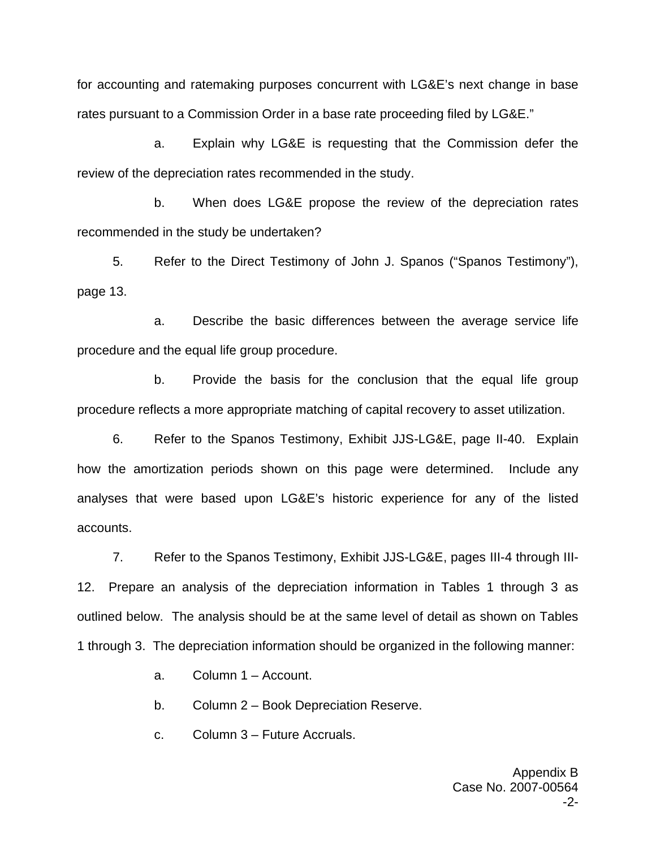for accounting and ratemaking purposes concurrent with LG&E's next change in base rates pursuant to a Commission Order in a base rate proceeding filed by LG&E."

a. Explain why LG&E is requesting that the Commission defer the review of the depreciation rates recommended in the study.

b. When does LG&E propose the review of the depreciation rates recommended in the study be undertaken?

5. Refer to the Direct Testimony of John J. Spanos ("Spanos Testimony"), page 13.

a. Describe the basic differences between the average service life procedure and the equal life group procedure.

b. Provide the basis for the conclusion that the equal life group procedure reflects a more appropriate matching of capital recovery to asset utilization.

6. Refer to the Spanos Testimony, Exhibit JJS-LG&E, page II-40. Explain how the amortization periods shown on this page were determined. Include any analyses that were based upon LG&E's historic experience for any of the listed accounts.

7. Refer to the Spanos Testimony, Exhibit JJS-LG&E, pages III-4 through III-12. Prepare an analysis of the depreciation information in Tables 1 through 3 as outlined below. The analysis should be at the same level of detail as shown on Tables 1 through 3. The depreciation information should be organized in the following manner:

a. Column 1 – Account.

b. Column 2 – Book Depreciation Reserve.

c. Column 3 – Future Accruals.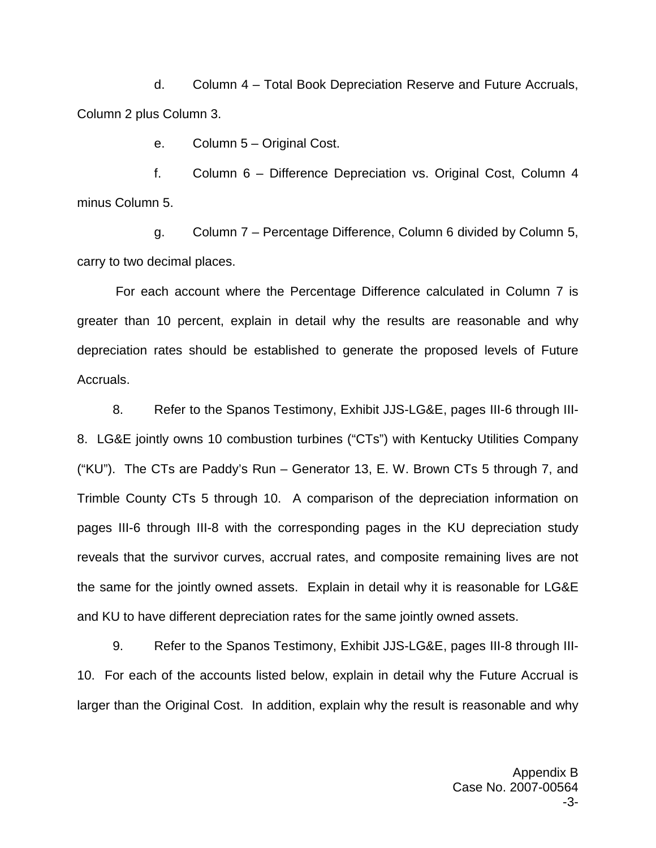d. Column 4 – Total Book Depreciation Reserve and Future Accruals, Column 2 plus Column 3.

e. Column 5 – Original Cost.

f. Column 6 – Difference Depreciation vs. Original Cost, Column 4 minus Column 5.

g. Column 7 – Percentage Difference, Column 6 divided by Column 5, carry to two decimal places.

For each account where the Percentage Difference calculated in Column 7 is greater than 10 percent, explain in detail why the results are reasonable and why depreciation rates should be established to generate the proposed levels of Future Accruals.

8. Refer to the Spanos Testimony, Exhibit JJS-LG&E, pages III-6 through III-8. LG&E jointly owns 10 combustion turbines ("CTs") with Kentucky Utilities Company ("KU"). The CTs are Paddy's Run – Generator 13, E. W. Brown CTs 5 through 7, and Trimble County CTs 5 through 10. A comparison of the depreciation information on pages III-6 through III-8 with the corresponding pages in the KU depreciation study reveals that the survivor curves, accrual rates, and composite remaining lives are not the same for the jointly owned assets. Explain in detail why it is reasonable for LG&E and KU to have different depreciation rates for the same jointly owned assets.

9. Refer to the Spanos Testimony, Exhibit JJS-LG&E, pages III-8 through III-10. For each of the accounts listed below, explain in detail why the Future Accrual is larger than the Original Cost. In addition, explain why the result is reasonable and why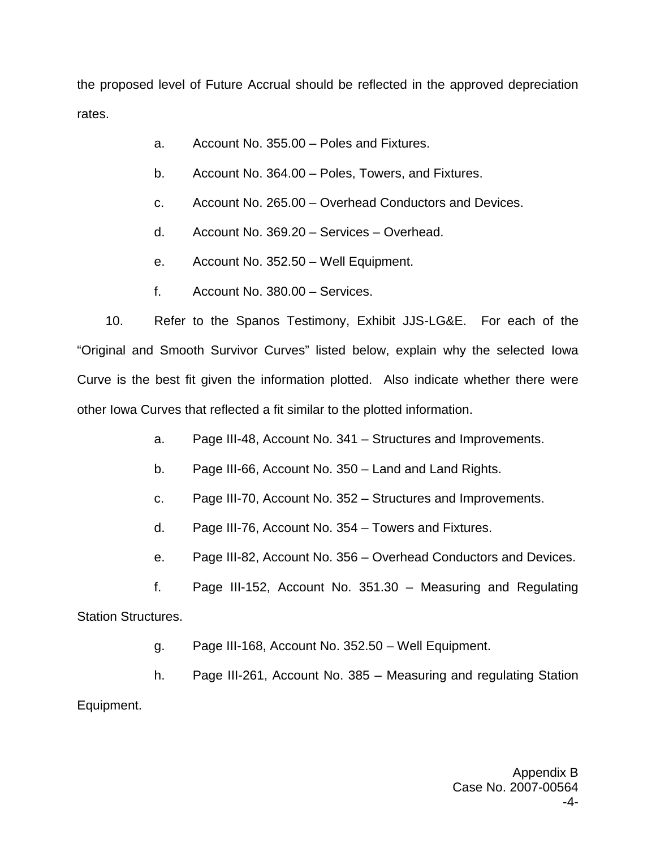the proposed level of Future Accrual should be reflected in the approved depreciation rates.

- a. Account No. 355.00 Poles and Fixtures.
- b. Account No. 364.00 Poles, Towers, and Fixtures.
- c. Account No. 265.00 Overhead Conductors and Devices.
- d. Account No. 369.20 Services Overhead.
- e. Account No. 352.50 Well Equipment.
- f. Account No. 380.00 Services.

10. Refer to the Spanos Testimony, Exhibit JJS-LG&E. For each of the "Original and Smooth Survivor Curves" listed below, explain why the selected Iowa Curve is the best fit given the information plotted. Also indicate whether there were other Iowa Curves that reflected a fit similar to the plotted information.

- a. Page III-48, Account No. 341 Structures and Improvements.
- b. Page III-66, Account No. 350 Land and Land Rights.
- c. Page III-70, Account No. 352 Structures and Improvements.
- d. Page III-76, Account No. 354 Towers and Fixtures.
- e. Page III-82, Account No. 356 Overhead Conductors and Devices.

f. Page III-152, Account No. 351.30 – Measuring and Regulating Station Structures.

g. Page III-168, Account No. 352.50 – Well Equipment.

h. Page III-261, Account No. 385 – Measuring and regulating Station Equipment.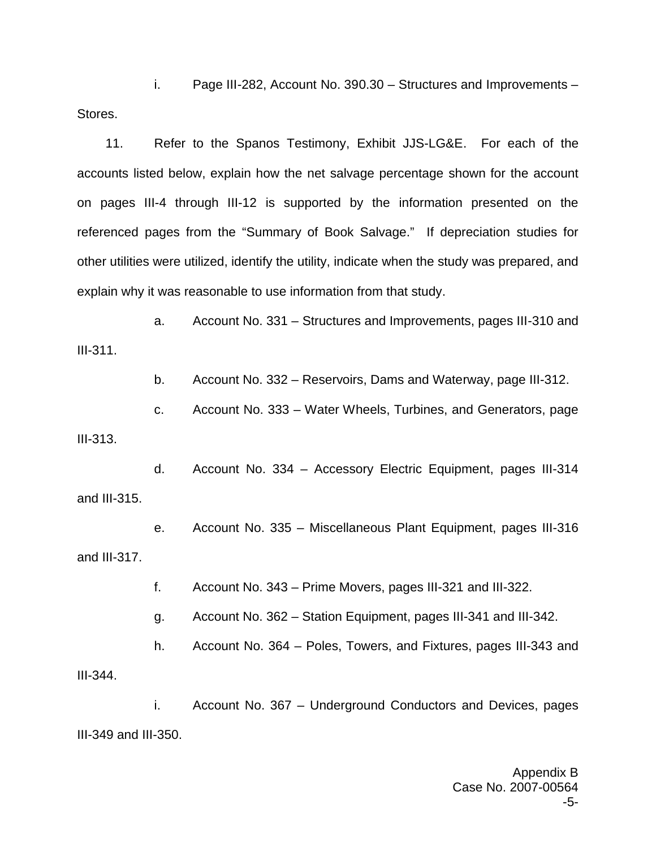i. Page III-282, Account No. 390.30 – Structures and Improvements – Stores.

11. Refer to the Spanos Testimony, Exhibit JJS-LG&E. For each of the accounts listed below, explain how the net salvage percentage shown for the account on pages III-4 through III-12 is supported by the information presented on the referenced pages from the "Summary of Book Salvage." If depreciation studies for other utilities were utilized, identify the utility, indicate when the study was prepared, and explain why it was reasonable to use information from that study.

a. Account No. 331 – Structures and Improvements, pages III-310 and III-311.

b. Account No. 332 – Reservoirs, Dams and Waterway, page III-312.

c. Account No. 333 – Water Wheels, Turbines, and Generators, page III-313.

d. Account No. 334 – Accessory Electric Equipment, pages III-314 and III-315.

e. Account No. 335 – Miscellaneous Plant Equipment, pages III-316 and III-317.

f. Account No. 343 – Prime Movers, pages III-321 and III-322.

g. Account No. 362 – Station Equipment, pages III-341 and III-342.

h. Account No. 364 – Poles, Towers, and Fixtures, pages III-343 and

III-344.

i. Account No. 367 – Underground Conductors and Devices, pages III-349 and III-350.